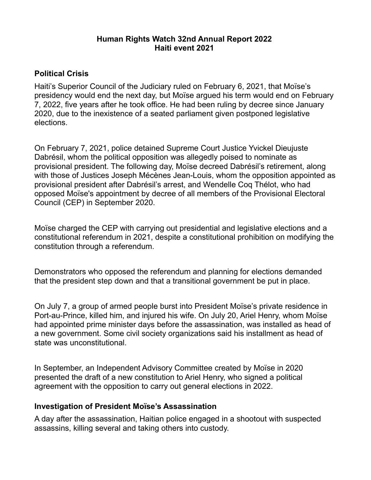### **Human Rights Watch 32nd Annual Report 2022 Haiti event 2021**

### **Political Crisis**

Haiti's Superior Council of the Judiciary ruled on February 6, 2021, that Moïse's presidency would end the next day, but Moïse argued his term would end on February 7, 2022, five years after he took office. He had been ruling by decree since January 2020, due to the inexistence of a seated parliament given postponed legislative elections.

On February 7, 2021, police detained Supreme Court Justice Yvickel Dieujuste Dabrésil, whom the political opposition was allegedly poised to nominate as provisional president. The following day, Moïse decreed Dabrésil's retirement, along with those of Justices Joseph Mécènes Jean-Louis, whom the opposition appointed as provisional president after Dabrésil's arrest, and Wendelle Coq Thélot, who had opposed Moïse's appointment by decree of all members of the Provisional Electoral Council (CEP) in September 2020.

Moïse charged the CEP with carrying out presidential and legislative elections and a constitutional referendum in 2021, despite a constitutional prohibition on modifying the constitution through a referendum.

Demonstrators who opposed the referendum and planning for elections demanded that the president step down and that a transitional government be put in place.

On July 7, a group of armed people burst into President Moïse's private residence in Port-au-Prince, killed him, and injured his wife. On July 20, Ariel Henry, whom Moïse had appointed prime minister days before the assassination, was installed as head of a new government. Some civil society organizations said his installment as head of state was unconstitutional.

In September, an Independent Advisory Committee created by Moïse in 2020 presented the draft of a new constitution to Ariel Henry, who signed a political agreement with the opposition to carry out general elections in 2022.

#### **Investigation of President Moïse's Assassination**

A day after the assassination, Haitian police engaged in a shootout with suspected assassins, killing several and taking others into custody.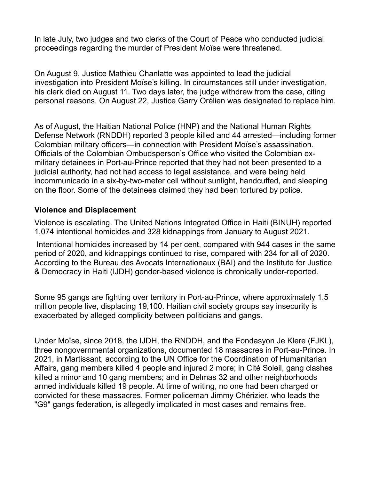In late July, two judges and two clerks of the Court of Peace who conducted judicial proceedings regarding the murder of President Moïse were threatened.

On August 9, Justice Mathieu Chanlatte was appointed to lead the judicial investigation into President Moïse's killing. In circumstances still under investigation, his clerk died on August 11. Two days later, the judge withdrew from the case, citing personal reasons. On August 22, Justice Garry Orélien was designated to replace him.

As of August, the Haitian National Police (HNP) and the National Human Rights Defense Network (RNDDH) reported 3 people killed and 44 arrested—including former Colombian military officers—in connection with President Moïse's assassination. Officials of the Colombian Ombudsperson's Office who visited the Colombian exmilitary detainees in Port-au-Prince reported that they had not been presented to a judicial authority, had not had access to legal assistance, and were being held incommunicado in a six-by-two-meter cell without sunlight, handcuffed, and sleeping on the floor. Some of the detainees claimed they had been tortured by police.

### **Violence and Displacement**

Violence is escalating. The United Nations Integrated Office in Haiti (BINUH) reported 1,074 intentional homicides and 328 kidnappings from January to August 2021.

 Intentional homicides increased by 14 per cent, compared with 944 cases in the same period of 2020, and kidnappings continued to rise, compared with 234 for all of 2020. According to the Bureau des Avocats Internationaux (BAI) and the Institute for Justice & Democracy in Haiti (IJDH) gender-based violence is chronically under-reported.

Some 95 gangs are fighting over territory in Port-au-Prince, where approximately 1.5 million people live, displacing 19,100. Haitian civil society groups say insecurity is exacerbated by alleged complicity between politicians and gangs.

Under Moïse, since 2018, the IJDH, the RNDDH, and the Fondasyon Je Klere (FJKL), three nongovernmental organizations, documented 18 massacres in Port-au-Prince. In 2021, in Martissant, according to the UN Office for the Coordination of Humanitarian Affairs, gang members killed 4 people and injured 2 more; in Cité Soleil, gang clashes killed a minor and 10 gang members; and in Delmas 32 and other neighborhoods armed individuals killed 19 people. At time of writing, no one had been charged or convicted for these massacres. Former policeman Jimmy Chérizier, who leads the "G9" gangs federation, is allegedly implicated in most cases and remains free.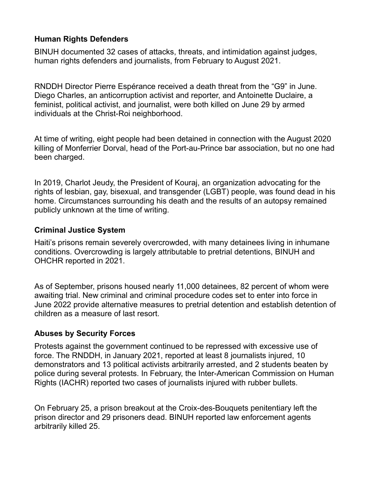## **Human Rights Defenders**

BINUH documented 32 cases of attacks, threats, and intimidation against judges, human rights defenders and journalists, from February to August 2021.

RNDDH Director Pierre Espérance received a death threat from the "G9" in June. Diego Charles, an anticorruption activist and reporter, and Antoinette Duclaire, a feminist, political activist, and journalist, were both killed on June 29 by armed individuals at the Christ-Roi neighborhood.

At time of writing, eight people had been detained in connection with the August 2020 killing of Monferrier Dorval, head of the Port-au-Prince bar association, but no one had been charged.

In 2019, Charlot Jeudy, the President of Kouraj, an organization advocating for the rights of lesbian, gay, bisexual, and transgender (LGBT) people, was found dead in his home. Circumstances surrounding his death and the results of an autopsy remained publicly unknown at the time of writing.

## **Criminal Justice System**

Haiti's prisons remain severely overcrowded, with many detainees living in inhumane conditions. Overcrowding is largely attributable to pretrial detentions, BINUH and OHCHR reported in 2021.

As of September, prisons housed nearly 11,000 detainees, 82 percent of whom were awaiting trial. New criminal and criminal procedure codes set to enter into force in June 2022 provide alternative measures to pretrial detention and establish detention of children as a measure of last resort.

### **Abuses by Security Forces**

Protests against the government continued to be repressed with excessive use of force. The RNDDH, in January 2021, reported at least 8 journalists injured, 10 demonstrators and 13 political activists arbitrarily arrested, and 2 students beaten by police during several protests. In February, the Inter-American Commission on Human Rights (IACHR) reported two cases of journalists injured with rubber bullets.

On February 25, a prison breakout at the Croix-des-Bouquets penitentiary left the prison director and 29 prisoners dead. BINUH reported law enforcement agents arbitrarily killed 25.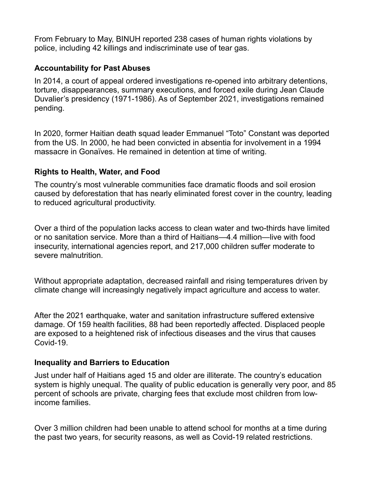From February to May, BINUH reported 238 cases of human rights violations by police, including 42 killings and indiscriminate use of tear gas.

### **Accountability for Past Abuses**

In 2014, a court of appeal ordered investigations re-opened into arbitrary detentions, torture, disappearances, summary executions, and forced exile during Jean Claude Duvalier's presidency (1971-1986). As of September 2021, investigations remained pending.

In 2020, former Haitian death squad leader Emmanuel "Toto" Constant was deported from the US. In 2000, he had been convicted in absentia for involvement in a 1994 massacre in Gonaïves. He remained in detention at time of writing.

## **Rights to Health, Water, and Food**

The country's most vulnerable communities face dramatic floods and soil erosion caused by deforestation that has nearly eliminated forest cover in the country, leading to reduced agricultural productivity.

Over a third of the population lacks access to clean water and two-thirds have limited or no sanitation service. More than a third of Haitians—4.4 million—live with food insecurity, international agencies report, and 217,000 children suffer moderate to severe malnutrition.

Without appropriate adaptation, decreased rainfall and rising temperatures driven by climate change will increasingly negatively impact agriculture and access to water.

After the 2021 earthquake, water and sanitation infrastructure suffered extensive damage. Of 159 health facilities, 88 had been reportedly affected. Displaced people are exposed to a heightened risk of infectious diseases and the virus that causes Covid-19.

### **Inequality and Barriers to Education**

Just under half of Haitians aged 15 and older are illiterate. The country's education system is highly unequal. The quality of public education is generally very poor, and 85 percent of schools are private, charging fees that exclude most children from lowincome families.

Over 3 million children had been unable to attend school for months at a time during the past two years, for security reasons, as well as Covid-19 related restrictions.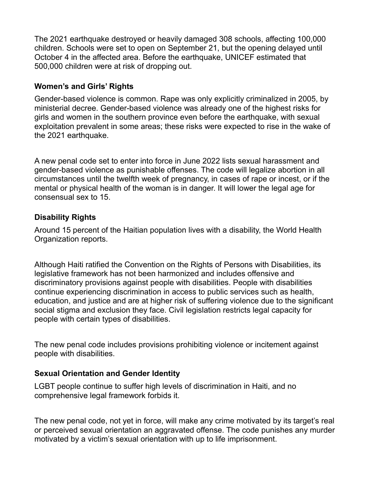The 2021 earthquake destroyed or heavily damaged 308 schools, affecting 100,000 children. Schools were set to open on September 21, but the opening delayed until October 4 in the affected area. Before the earthquake, UNICEF estimated that 500,000 children were at risk of dropping out.

### **Women's and Girls' Rights**

Gender-based violence is common. Rape was only explicitly criminalized in 2005, by ministerial decree. Gender-based violence was already one of the highest risks for girls and women in the southern province even before the earthquake, with sexual exploitation prevalent in some areas; these risks were expected to rise in the wake of the 2021 earthquake.

A new penal code set to enter into force in June 2022 lists sexual harassment and gender-based violence as punishable offenses. The code will legalize abortion in all circumstances until the twelfth week of pregnancy, in cases of rape or incest, or if the mental or physical health of the woman is in danger. It will lower the legal age for consensual sex to 15.

# **Disability Rights**

Around 15 percent of the Haitian population lives with a disability, the World Health Organization reports.

Although Haiti ratified the Convention on the Rights of Persons with Disabilities, its legislative framework has not been harmonized and includes offensive and discriminatory provisions against people with disabilities. People with disabilities continue experiencing discrimination in access to public services such as health, education, and justice and are at higher risk of suffering violence due to the significant social stigma and exclusion they face. Civil legislation restricts legal capacity for people with certain types of disabilities.

The new penal code includes provisions prohibiting violence or incitement against people with disabilities.

### **Sexual Orientation and Gender Identity**

LGBT people continue to suffer high levels of discrimination in Haiti, and no comprehensive legal framework forbids it.

The new penal code, not yet in force, will make any crime motivated by its target's real or perceived sexual orientation an aggravated offense. The code punishes any murder motivated by a victim's sexual orientation with up to life imprisonment.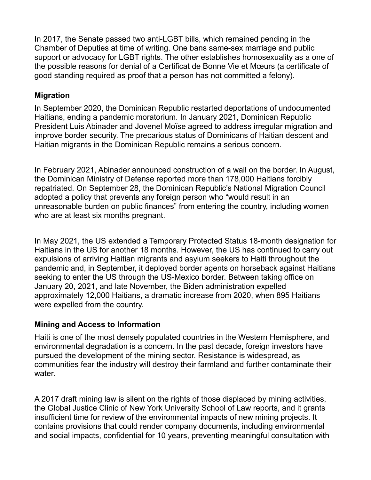In 2017, the Senate passed two anti-LGBT bills, which remained pending in the Chamber of Deputies at time of writing. One bans same-sex marriage and public support or advocacy for LGBT rights. The other establishes homosexuality as a one of the possible reasons for denial of a Certificat de Bonne Vie et Mœurs (a certificate of good standing required as proof that a person has not committed a felony).

## **Migration**

In September 2020, the Dominican Republic restarted deportations of undocumented Haitians, ending a pandemic moratorium. In January 2021, Dominican Republic President Luis Abinader and Jovenel Moïse agreed to address irregular migration and improve border security. The precarious status of Dominicans of Haitian descent and Haitian migrants in the Dominican Republic remains a serious concern.

In February 2021, Abinader announced construction of a wall on the border. In August, the Dominican Ministry of Defense reported more than 178,000 Haitians forcibly repatriated. On September 28, the Dominican Republic's National Migration Council adopted a policy that prevents any foreign person who "would result in an unreasonable burden on public finances" from entering the country, including women who are at least six months pregnant.

In May 2021, the US extended a Temporary Protected Status 18-month designation for Haitians in the US for another 18 months. However, the US has continued to carry out expulsions of arriving Haitian migrants and asylum seekers to Haiti throughout the pandemic and, in September, it deployed border agents on horseback against Haitians seeking to enter the US through the US-Mexico border. Between taking office on January 20, 2021, and late November, the Biden administration expelled approximately 12,000 Haitians, a dramatic increase from 2020, when 895 Haitians were expelled from the country.

### **Mining and Access to Information**

Haiti is one of the most densely populated countries in the Western Hemisphere, and environmental degradation is a concern. In the past decade, foreign investors have pursued the development of the mining sector. Resistance is widespread, as communities fear the industry will destroy their farmland and further contaminate their water.

A 2017 draft mining law is silent on the rights of those displaced by mining activities, the Global Justice Clinic of New York University School of Law reports, and it grants insufficient time for review of the environmental impacts of new mining projects. It contains provisions that could render company documents, including environmental and social impacts, confidential for 10 years, preventing meaningful consultation with